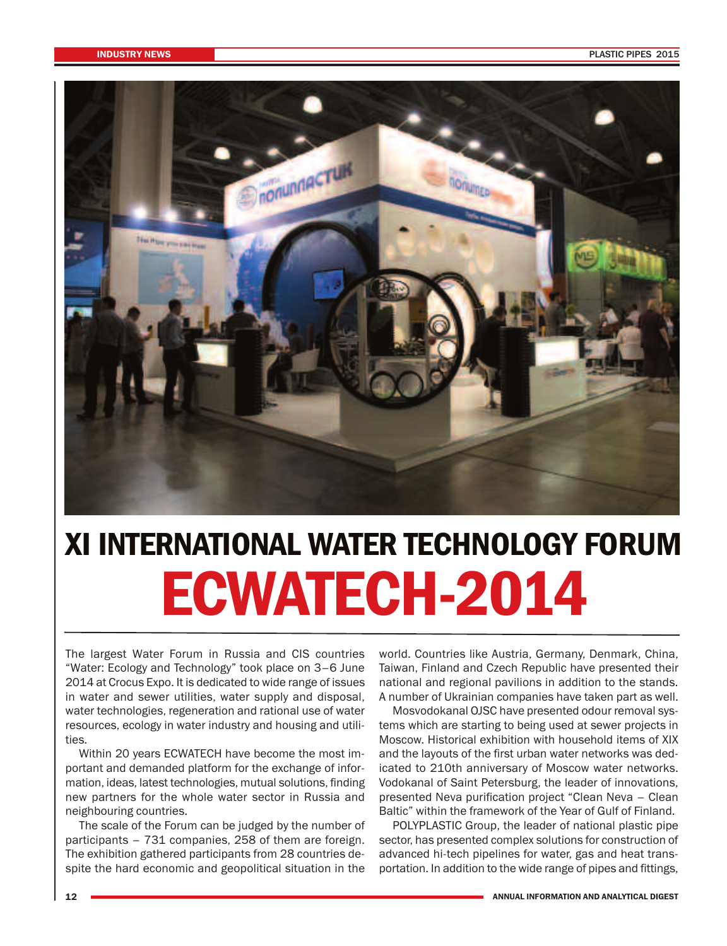

## **XI INTERNATIONAL WATER TECHNOLOGY FORUM ECWATECH-2014**

The largest Water Forum in Russia and CIS countries "Water: Ecology and Technology" took place on 3–6 June 2014 at Crocus Expo. It is dedicated to wide range of issues in water and sewer utilities, water supply and disposal, water technologies, regeneration and rational use of water resources, ecology in water industry and housing and utilities.

Within 20 years ECWATECH have become the most important and demanded platform for the exchange of information, ideas, latest technologies, mutual solutions, finding new partners for the whole water sector in Russia and neighbouring countries.

The scale of the Forum can be judged by the number of participants – 731 companies, 258 of them are foreign. The exhibition gathered participants from 28 countries despite the hard economic and geopolitical situation in the

world. Countries like Austria, Germany, Denmark, China, Taiwan, Finland and Czech Republic have presented their national and regional pavilions in addition to the stands. A number of Ukrainian companies have taken part as well.

Mosvodokanal OJSC have presented odour removal systems which are starting to being used at sewer projects in Moscow. Historical exhibition with household items of XIX and the layouts of the first urban water networks was dedicated to 210th anniversary of Moscow water networks. Vodokanal of Saint Petersburg, the leader of innovations, presented Neva purification project "Clean Neva – Clean Baltic" within the framework of the Year of Gulf of Finland.

POLYPLASTIC Group, the leader of national plastic pipe sector, has presented complex solutions for construction of advanced hi-tech pipelines for water, gas and heat transportation. In addition to the wide range of pipes and fittings,